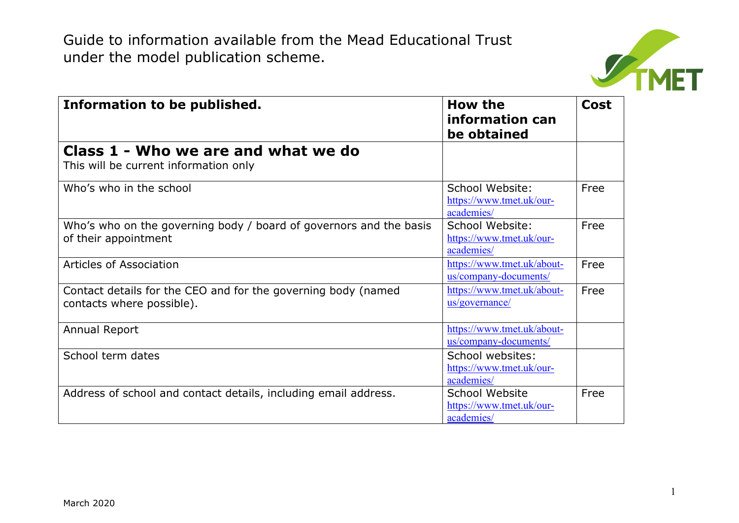

| Information to be published.                                                               | How the<br>information can<br>be obtained                  | <b>Cost</b> |
|--------------------------------------------------------------------------------------------|------------------------------------------------------------|-------------|
| Class 1 - Who we are and what we do<br>This will be current information only               |                                                            |             |
| Who's who in the school                                                                    | School Website:<br>https://www.tmet.uk/our-<br>academies/  | Free        |
| Who's who on the governing body / board of governors and the basis<br>of their appointment | School Website:<br>https://www.tmet.uk/our-<br>academies/  | Free        |
| <b>Articles of Association</b>                                                             | https://www.tmet.uk/about-<br>us/company-documents/        | Free        |
| Contact details for the CEO and for the governing body (named<br>contacts where possible). | https://www.tmet.uk/about-<br>us/governance/               | Free        |
| Annual Report                                                                              | https://www.tmet.uk/about-<br>us/company-documents/        |             |
| School term dates                                                                          | School websites:<br>https://www.tmet.uk/our-<br>academies/ |             |
| Address of school and contact details, including email address.                            | School Website<br>https://www.tmet.uk/our-<br>academies/   | Free        |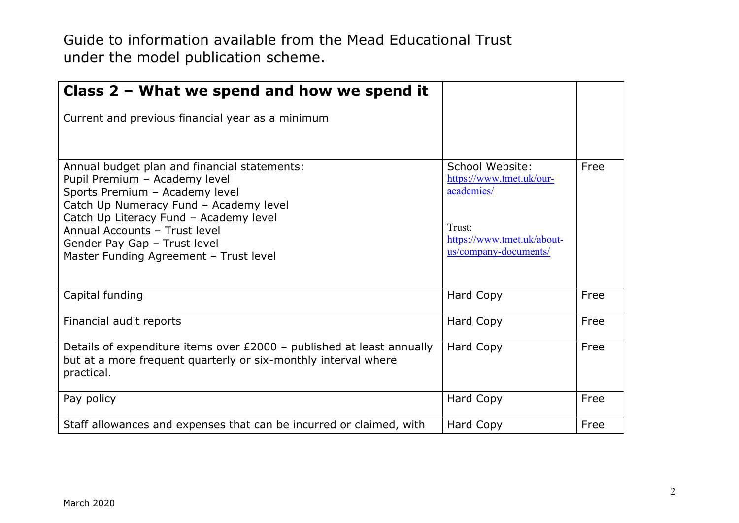| Class $2$ – What we spend and how we spend it                                                                                                                                                                                                                                                                  |                                                                                                                            |      |
|----------------------------------------------------------------------------------------------------------------------------------------------------------------------------------------------------------------------------------------------------------------------------------------------------------------|----------------------------------------------------------------------------------------------------------------------------|------|
| Current and previous financial year as a minimum                                                                                                                                                                                                                                                               |                                                                                                                            |      |
| Annual budget plan and financial statements:<br>Pupil Premium - Academy level<br>Sports Premium - Academy level<br>Catch Up Numeracy Fund - Academy level<br>Catch Up Literacy Fund - Academy level<br>Annual Accounts - Trust level<br>Gender Pay Gap - Trust level<br>Master Funding Agreement - Trust level | School Website:<br>https://www.tmet.uk/our-<br>academies/<br>Trust:<br>https://www.tmet.uk/about-<br>us/company-documents/ | Free |
| Capital funding                                                                                                                                                                                                                                                                                                | Hard Copy                                                                                                                  | Free |
| Financial audit reports                                                                                                                                                                                                                                                                                        | Hard Copy                                                                                                                  | Free |
| Details of expenditure items over £2000 - published at least annually<br>but at a more frequent quarterly or six-monthly interval where<br>practical.                                                                                                                                                          | Hard Copy                                                                                                                  | Free |
| Pay policy                                                                                                                                                                                                                                                                                                     | Hard Copy                                                                                                                  | Free |
| Staff allowances and expenses that can be incurred or claimed, with                                                                                                                                                                                                                                            | Hard Copy                                                                                                                  | Free |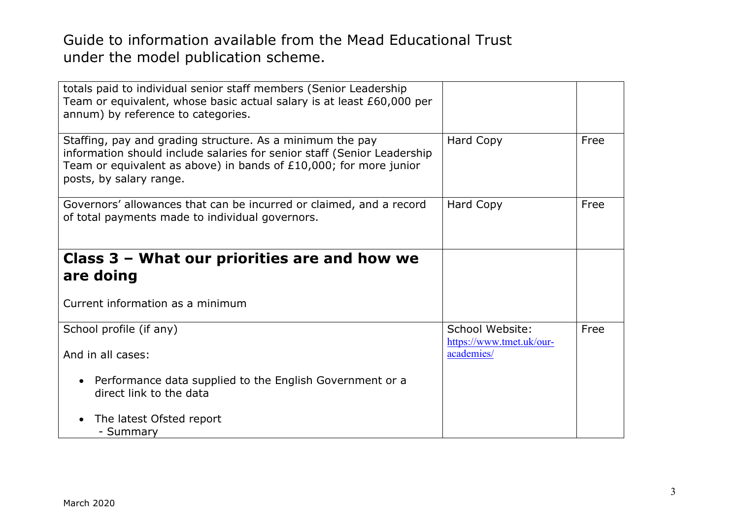| totals paid to individual senior staff members (Senior Leadership<br>Team or equivalent, whose basic actual salary is at least £60,000 per<br>annum) by reference to categories.                                                        |                                             |      |
|-----------------------------------------------------------------------------------------------------------------------------------------------------------------------------------------------------------------------------------------|---------------------------------------------|------|
| Staffing, pay and grading structure. As a minimum the pay<br>information should include salaries for senior staff (Senior Leadership<br>Team or equivalent as above) in bands of $£10,000$ ; for more junior<br>posts, by salary range. | Hard Copy                                   | Free |
| Governors' allowances that can be incurred or claimed, and a record<br>of total payments made to individual governors.                                                                                                                  | Hard Copy                                   | Free |
| Class 3 – What our priorities are and how we<br>are doing                                                                                                                                                                               |                                             |      |
| Current information as a minimum                                                                                                                                                                                                        |                                             |      |
| School profile (if any)                                                                                                                                                                                                                 | School Website:<br>https://www.tmet.uk/our- | Free |
| And in all cases:                                                                                                                                                                                                                       | academies/                                  |      |
| Performance data supplied to the English Government or a<br>direct link to the data                                                                                                                                                     |                                             |      |
| The latest Ofsted report<br>- Summary                                                                                                                                                                                                   |                                             |      |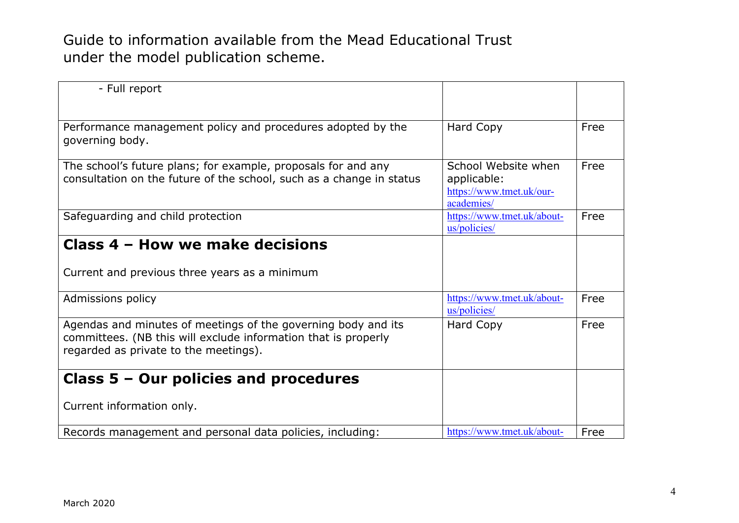| - Full report                                                                                                                                                            |                                                                              |      |
|--------------------------------------------------------------------------------------------------------------------------------------------------------------------------|------------------------------------------------------------------------------|------|
| Performance management policy and procedures adopted by the<br>governing body.                                                                                           | Hard Copy                                                                    | Free |
| The school's future plans; for example, proposals for and any<br>consultation on the future of the school, such as a change in status                                    | School Website when<br>applicable:<br>https://www.tmet.uk/our-<br>academies/ | Free |
| Safeguarding and child protection                                                                                                                                        | https://www.tmet.uk/about-<br>us/policies/                                   | Free |
| Class 4 - How we make decisions                                                                                                                                          |                                                                              |      |
| Current and previous three years as a minimum                                                                                                                            |                                                                              |      |
| Admissions policy                                                                                                                                                        | https://www.tmet.uk/about-<br>us/policies/                                   | Free |
| Agendas and minutes of meetings of the governing body and its<br>committees. (NB this will exclude information that is properly<br>regarded as private to the meetings). | Hard Copy                                                                    | Free |
| Class $5 -$ Our policies and procedures                                                                                                                                  |                                                                              |      |
| Current information only.                                                                                                                                                |                                                                              |      |
| Records management and personal data policies, including:                                                                                                                | https://www.tmet.uk/about-                                                   | Free |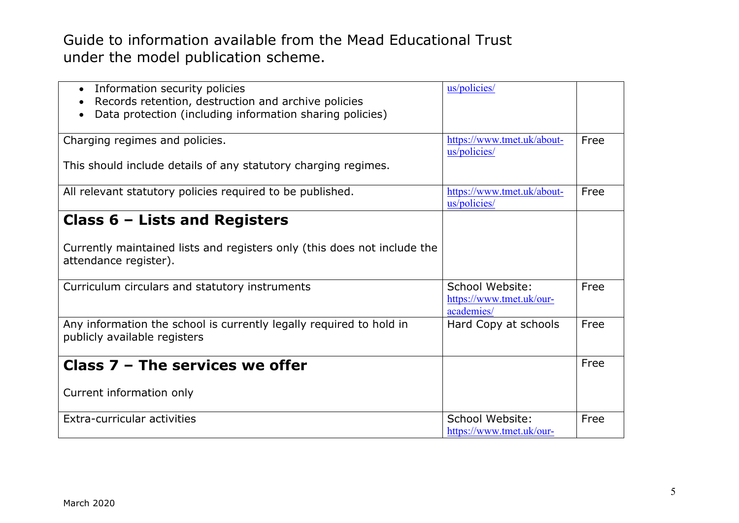| Information security policies<br>Records retention, destruction and archive policies<br>Data protection (including information sharing policies) | us/policies/                                              |      |
|--------------------------------------------------------------------------------------------------------------------------------------------------|-----------------------------------------------------------|------|
| Charging regimes and policies.                                                                                                                   | https://www.tmet.uk/about-<br>us/policies/                | Free |
| This should include details of any statutory charging regimes.                                                                                   |                                                           |      |
| All relevant statutory policies required to be published.                                                                                        | https://www.tmet.uk/about-<br>us/policies/                | Free |
| Class $6$ – Lists and Registers                                                                                                                  |                                                           |      |
| Currently maintained lists and registers only (this does not include the<br>attendance register).                                                |                                                           |      |
| Curriculum circulars and statutory instruments                                                                                                   | School Website:<br>https://www.tmet.uk/our-<br>academies/ | Free |
| Any information the school is currently legally required to hold in<br>publicly available registers                                              | Hard Copy at schools                                      | Free |
| Class $7$ – The services we offer                                                                                                                |                                                           | Free |
| Current information only                                                                                                                         |                                                           |      |
| Extra-curricular activities                                                                                                                      | School Website:<br>https://www.tmet.uk/our-               | Free |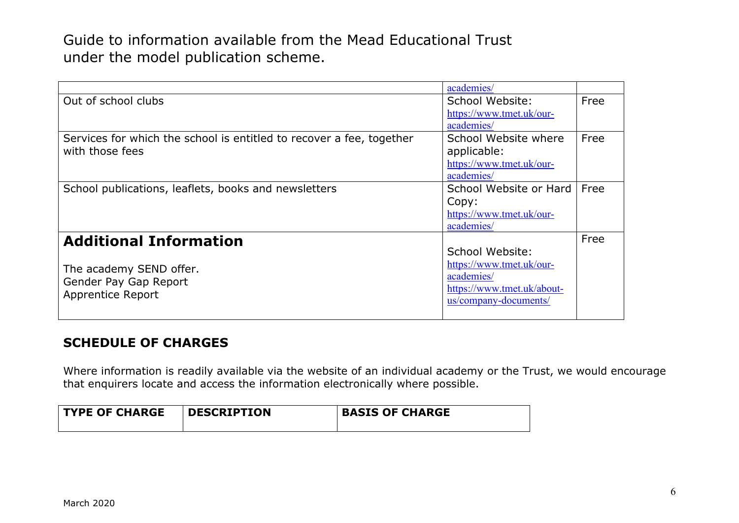|                                                                      | academies/                 |      |
|----------------------------------------------------------------------|----------------------------|------|
| Out of school clubs                                                  | School Website:            | Free |
|                                                                      | https://www.tmet.uk/our-   |      |
|                                                                      | academies/                 |      |
| Services for which the school is entitled to recover a fee, together | School Website where       | Free |
| with those fees                                                      | applicable:                |      |
|                                                                      | https://www.tmet.uk/our-   |      |
|                                                                      | academies/                 |      |
| School publications, leaflets, books and newsletters                 | School Website or Hard     | Free |
|                                                                      | Copy:                      |      |
|                                                                      | https://www.tmet.uk/our-   |      |
|                                                                      | academies/                 |      |
| <b>Additional Information</b>                                        |                            | Free |
|                                                                      | School Website:            |      |
| The academy SEND offer.                                              | https://www.tmet.uk/our-   |      |
| Gender Pay Gap Report                                                | academies/                 |      |
| Apprentice Report                                                    | https://www.tmet.uk/about- |      |
|                                                                      | us/company-documents/      |      |
|                                                                      |                            |      |

## **SCHEDULE OF CHARGES**

Where information is readily available via the website of an individual academy or the Trust, we would encourage that enquirers locate and access the information electronically where possible.

| <b>TYPE OF CHARGE</b> | <b>DESCRIPTION</b> | <b>BASIS OF CHARGE</b> |
|-----------------------|--------------------|------------------------|
|-----------------------|--------------------|------------------------|